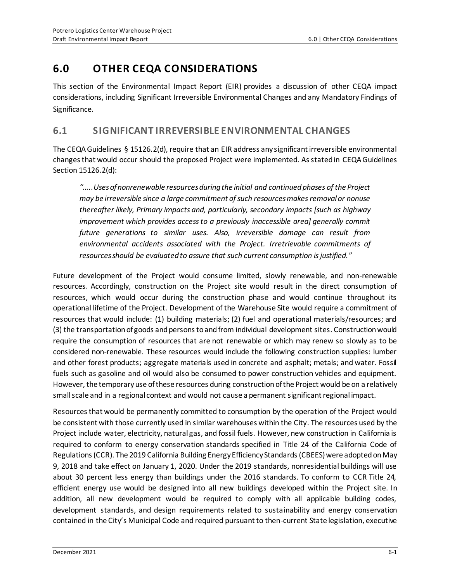# **6.0 OTHER CEQA CONSIDERATIONS**

This section of the Environmental Impact Report (EIR) provides a discussion of other CEQA impact considerations, including Significant Irreversible Environmental Changes and any Mandatory Findings of Significance.

# **6.1 SIGNIFICANT IRREVERSIBLE ENVIRONMENTAL CHANGES**

The CEQA Guidelines § 15126.2(d), require that an EIR address any significant irreversible environmental changes that would occur should the proposed Project were implemented. As stated in CEQA Guidelines Section 15126.2(d):

*"…..Uses of nonrenewable resources during the initial and continued phases of the Project may be irreversible since a large commitment of such resources makes removal or nonuse thereafter likely, Primary impacts and, particularly, secondary impacts [such as highway improvement which provides access to a previously inaccessible area] generally commit future generations to similar uses. Also, irreversible damage can result from environmental accidents associated with the Project. Irretrievable commitments of resources should be evaluated to assure that such current consumption is justified.*"

Future development of the Project would consume limited, slowly renewable, and non-renewable resources. Accordingly, construction on the Project site would result in the direct consumption of resources, which would occur during the construction phase and would continue throughout its operational lifetime of the Project. Development of the Warehouse Site would require a commitment of resources that would include: (1) building materials; (2) fuel and operational materials/resources; and (3) the transportation of goods and persons to and from individual development sites. Construction would require the consumption of resources that are not renewable or which may renew so slowly as to be considered non-renewable. These resources would include the following construction supplies: lumber and other forest products; aggregate materials used in concrete and asphalt; metals; and water. Fossil fuels such as gasoline and oil would also be consumed to power construction vehicles and equipment. However, the temporary use of these resources during construction of the Project would be on a relatively small scale and in a regional context and would not cause a permanent significant regional impact.

Resources that would be permanently committed to consumption by the operation of the Project would be consistent with those currently used in similar warehouses within the City. The resources used by the Project include water, electricity, natural gas, and fossil fuels. However, new construction in California is required to conform to energy conservation standards specified in Title 24 of the California Code of Regulations (CCR). The 2019 California Building Energy Efficiency Standards (CBEES)were adopted on May 9, 2018 and take effect on January 1, 2020. Under the 2019 standards, nonresidential buildings will use about 30 percent less energy than buildings under the 2016 standards. To conform to CCR Title 24, efficient energy use would be designed into all new buildings developed within the Project site. In addition, all new development would be required to comply with all applicable building codes, development standards, and design requirements related to sustainability and energy conservation contained in the City's Municipal Code and required pursuant to then-current State legislation, executive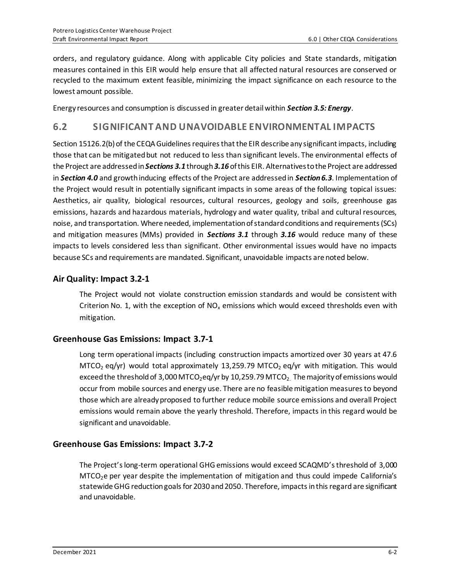orders, and regulatory guidance. Along with applicable City policies and State standards, mitigation measures contained in this EIR would help ensure that all affected natural resources are conserved or recycled to the maximum extent feasible, minimizing the impact significance on each resource to the lowest amount possible.

Energy resources and consumption is discussed in greater detail within *Section 3.5: Energy*.

## **6.2 SIGNIFICANT AND UNAVOIDABLE ENVIRONMENTAL IMPACTS**

Section 15126.2(b) of the CEQA Guidelines requires that the EIR describe any significant impacts, including those that can be mitigated but not reduced to less than significant levels. The environmental effects of the Project are addressed in *Sections 3.1* through *3.16* of this EIR. Alternatives to the Project are addressed in *Section 4.0* and growth inducing effects of the Project are addressed in *Section 6.3*. Implementation of the Project would result in potentially significant impacts in some areas of the following topical issues: Aesthetics, air quality, biological resources, cultural resources, geology and soils, greenhouse gas emissions, hazards and hazardous materials, hydrology and water quality, tribal and cultural resources, noise, and transportation. Where needed, implementation of standard conditions and requirements (SCs) and mitigation measures (MMs) provided in *Sections 3.1* through *3.16* would reduce many of these impacts to levels considered less than significant. Other environmental issues would have no impacts because SCs and requirements are mandated. Significant, unavoidable impacts are noted below.

### **Air Quality: Impact 3.2-1**

The Project would not violate construction emission standards and would be consistent with Criterion No. 1, with the exception of  $NO<sub>x</sub>$  emissions which would exceed thresholds even with mitigation.

#### **Greenhouse Gas Emissions: Impact 3.7-1**

Long term operational impacts (including construction impacts amortized over 30 years at 47.6 MTCO<sub>2</sub> eq/yr) would total approximately 13,259.79 MTCO<sub>2</sub> eq/yr with mitigation. This would exceed the threshold of 3,000 MTCO<sub>2</sub>eq/yr by 10,259.79 MTCO<sub>2</sub>. The majority of emissions would occur from mobile sources and energy use. There are no feasible mitigation measures to beyond those which are already proposed to further reduce mobile source emissions and overall Project emissions would remain above the yearly threshold. Therefore, impacts in this regard would be significant and unavoidable.

## **Greenhouse Gas Emissions: Impact 3.7-2**

The Project's long-term operational GHG emissions would exceed SCAQMD's threshold of 3,000 MTCO<sub>2</sub>e per year despite the implementation of mitigation and thus could impede California's statewide GHG reduction goals for 2030 and 2050. Therefore, impacts in this regard are significant and unavoidable.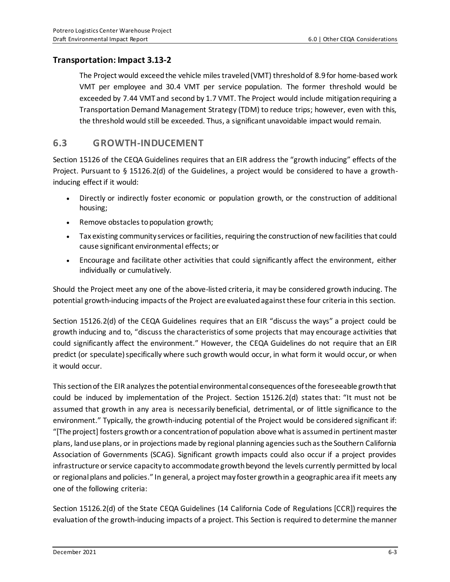### **Transportation: Impact 3.13-2**

The Project would exceed the vehicle miles traveled (VMT) threshold of 8.9 for home-based work VMT per employee and 30.4 VMT per service population. The former threshold would be exceeded by 7.44 VMT and second by 1.7 VMT. The Project would include mitigation requiring a Transportation Demand Management Strategy (TDM) to reduce trips; however, even with this, the threshold would still be exceeded. Thus, a significant unavoidable impact would remain.

## **6.3 GROWTH-INDUCEMENT**

Section 15126 of the CEQA Guidelines requires that an EIR address the "growth inducing" effects of the Project. Pursuant to § 15126.2(d) of the Guidelines, a project would be considered to have a growthinducing effect if it would:

- Directly or indirectly foster economic or population growth, or the construction of additional housing;
- Remove obstacles to population growth;
- Tax existing community services or facilities, requiring the construction of new facilities that could cause significant environmental effects; or
- Encourage and facilitate other activities that could significantly affect the environment, either individually or cumulatively.

Should the Project meet any one of the above-listed criteria, it may be considered growth inducing. The potential growth-inducing impacts of the Project are evaluated against these four criteria in this section.

Section 15126.2(d) of the CEQA Guidelines requires that an EIR "discuss the ways" a project could be growth inducing and to, "discuss the characteristics of some projects that may encourage activities that could significantly affect the environment." However, the CEQA Guidelines do not require that an EIR predict (or speculate) specifically where such growth would occur, in what form it would occur, or when it would occur.

This section of the EIR analyzes the potential environmental consequences of the foreseeable growth that could be induced by implementation of the Project. Section 15126.2(d) states that: "It must not be assumed that growth in any area is necessarily beneficial, detrimental, or of little significance to the environment." Typically, the growth-inducing potential of the Project would be considered significant if: "[The project] fosters growth or a concentration of population above what is assumed in pertinent master plans, land use plans, or in projections made by regional planning agencies such as the Southern California Association of Governments (SCAG). Significant growth impacts could also occur if a project provides infrastructure or service capacity to accommodate growth beyond the levels currently permitted by local or regional plans and policies." In general, a project may foster growth in a geographic area if it meets any one of the following criteria:

Section 15126.2(d) of the State CEQA Guidelines (14 California Code of Regulations [CCR]) requires the evaluation of the growth-inducing impacts of a project. This Section is required to determine the manner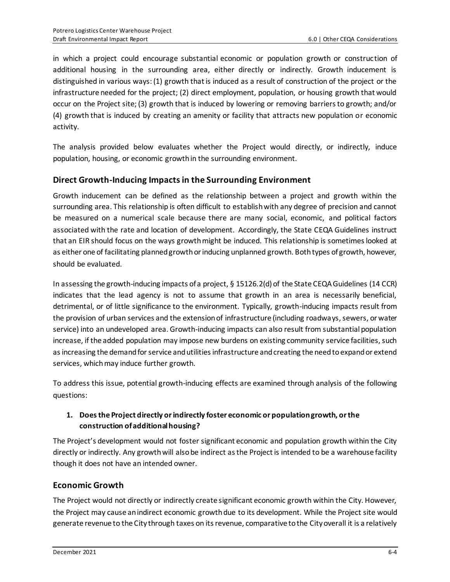in which a project could encourage substantial economic or population growth or construction of additional housing in the surrounding area, either directly or indirectly. Growth inducement is distinguished in various ways: (1) growth that is induced as a result of construction of the project or the infrastructure needed for the project; (2) direct employment, population, or housing growth that would occur on the Project site; (3) growth that is induced by lowering or removing barriers to growth; and/or (4) growth that is induced by creating an amenity or facility that attracts new population or economic activity.

The analysis provided below evaluates whether the Project would directly, or indirectly, induce population, housing, or economic growth in the surrounding environment.

## **Direct Growth-Inducing Impacts in the Surrounding Environment**

Growth inducement can be defined as the relationship between a project and growth within the surrounding area. This relationship is often difficult to establish with any degree of precision and cannot be measured on a numerical scale because there are many social, economic, and political factors associated with the rate and location of development. Accordingly, the State CEQA Guidelines instruct that an EIR should focus on the ways growth might be induced. This relationship is sometimes looked at as either one of facilitating planned growth or inducing unplanned growth. Both types of growth, however, should be evaluated.

In assessing the growth-inducing impacts of a project, § 15126.2(d) of the State CEQA Guidelines (14 CCR) indicates that the lead agency is not to assume that growth in an area is necessarily beneficial, detrimental, or of little significance to the environment. Typically, growth-inducing impacts result from the provision of urban services and the extension of infrastructure (including roadways, sewers, or water service) into an undeveloped area. Growth-inducing impacts can also result from substantial population increase, if the added population may impose new burdens on existing community service facilities, such as increasing the demand forservice and utilities infrastructure and creating the need to expand or extend services, which may induce further growth.

To address this issue, potential growth-inducing effects are examined through analysis of the following questions:

### **1. Does the Project directly or indirectly foster economic or population growth, or the construction of additional housing?**

The Project's development would not foster significant economic and population growth within the City directly or indirectly. Any growth will also be indirect as the Project is intended to be a warehouse facility though it does not have an intended owner.

## **Economic Growth**

The Project would not directly or indirectly create significant economic growth within the City. However, the Project may cause an indirect economic growth due to its development. While the Project site would generate revenue to the City through taxes on its revenue, comparative to the City overall it is a relatively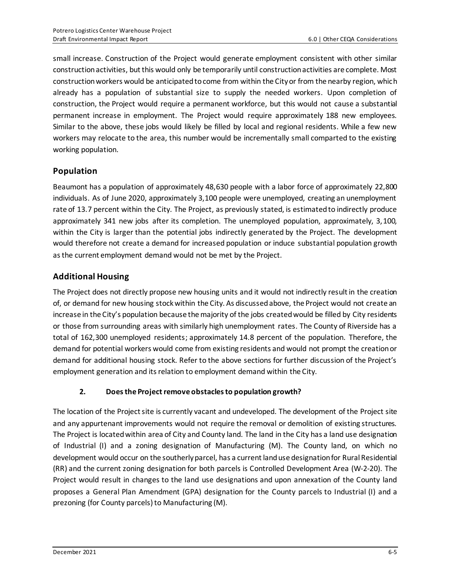small increase. Construction of the Project would generate employment consistent with other similar construction activities, but this would only be temporarily until construction activities are complete. Most construction workers would be anticipated to come from within the City or from the nearby region, which already has a population of substantial size to supply the needed workers. Upon completion of construction, the Project would require a permanent workforce, but this would not cause a substantial permanent increase in employment. The Project would require approximately 188 new employees. Similar to the above, these jobs would likely be filled by local and regional residents. While a few new workers may relocate to the area, this number would be incrementally small comparted to the existing working population.

## **Population**

Beaumont has a population of approximately 48,630 people with a labor force of approximately 22,800 individuals. As of June 2020, approximately 3,100 people were unemployed, creating an unemployment rate of 13.7 percent within the City. The Project, as previously stated, is estimated to indirectly produce approximately 341 new jobs after its completion. The unemployed population, approximately, 3,100, within the City is larger than the potential jobs indirectly generated by the Project. The development would therefore not create a demand for increased population or induce substantial population growth as the current employment demand would not be met by the Project.

## **Additional Housing**

The Project does not directly propose new housing units and it would not indirectly result in the creation of, or demand for new housing stock within the City. As discussed above, the Project would not create an increase in the City's population because the majority of the jobs created would be filled by City residents or those from surrounding areas with similarly high unemployment rates. The County of Riverside has a total of 162,300 unemployed residents; approximately 14.8 percent of the population. Therefore, the demand for potential workers would come from existing residents and would not prompt the creation or demand for additional housing stock. Refer to the above sections for further discussion of the Project's employment generation and its relation to employment demand within the City.

#### **2. Does the Project remove obstacles to population growth?**

The location of the Project site is currently vacant and undeveloped. The development of the Project site and any appurtenant improvements would not require the removal or demolition of existing structures. The Project is located within area of City and County land. The land in the City has a land use designation of Industrial (I) and a zoning designation of Manufacturing (M). The County land, on which no development would occur on the southerly parcel, has a current land use designation for Rural Residential (RR) and the current zoning designation for both parcels is Controlled Development Area (W-2-20). The Project would result in changes to the land use designations and upon annexation of the County land proposes a General Plan Amendment (GPA) designation for the County parcels to Industrial (I) and a prezoning (for County parcels) to Manufacturing (M).